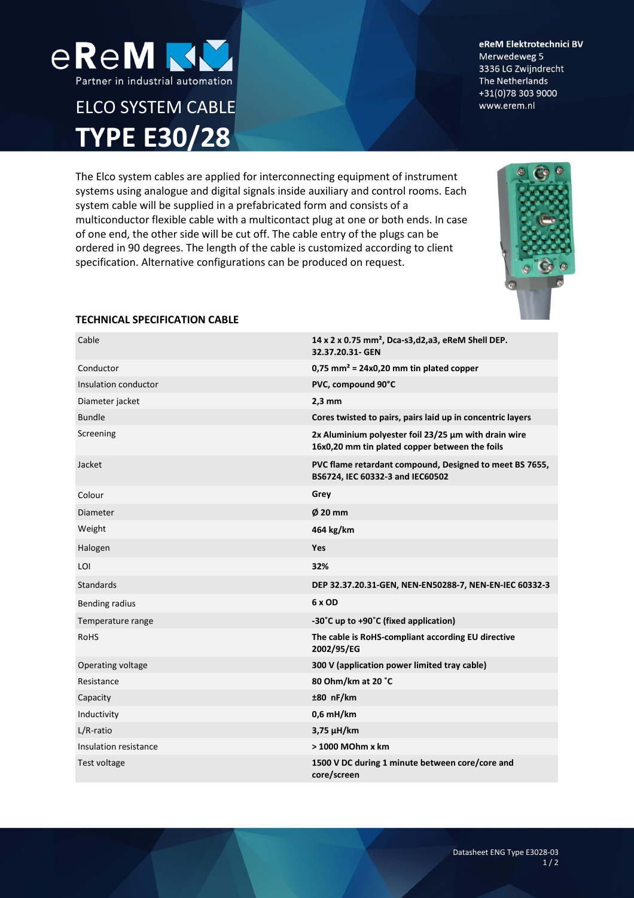

# ELCO SYSTEM CABLE **TYPE E30/28**

eReM Elektrotechnici BV Merwedeweg 5 3336 LG Zwijndrecht The Netherlands +31(0)78 303 9000 www.erem.nl

The Elco system cables are applied for interconnecting equipment of instrument systems using analogue and digital signals inside auxiliary and control rooms. Each system cable will be supplied in a prefabricated form and consists of a multiconductor flexible cable with a multicontact plug at one or both ends. In case of one end, the other side will be cut off. The cable entry of the plugs can be ordered in 90 degrees. The length of the cable is customized according to client specification. Alternative configurations can be produced on request.



## **TECHNICAL SPECIFICATION CABLE**

| Cable                 | 14 x 2 x 0.75 mm <sup>2</sup> , Dca-s3,d2,a3, eReM Shell DEP.<br>32.37.20.31- GEN                      |  |
|-----------------------|--------------------------------------------------------------------------------------------------------|--|
| Conductor             | $0.75$ mm <sup>2</sup> = 24x0.20 mm tin plated copper                                                  |  |
| Insulation conductor  | PVC, compound 90°C                                                                                     |  |
| Diameter jacket       | $2,3$ mm                                                                                               |  |
| <b>Bundle</b>         | Cores twisted to pairs, pairs laid up in concentric layers                                             |  |
| Screening             | 2x Aluminium polyester foil 23/25 µm with drain wire<br>16x0,20 mm tin plated copper between the foils |  |
| Jacket                | PVC flame retardant compound, Designed to meet BS 7655,<br>BS6724, IEC 60332-3 and IEC60502            |  |
| Colour                | Grey                                                                                                   |  |
| Diameter              | $\phi$ 20 mm                                                                                           |  |
| Weight                | 464 kg/km                                                                                              |  |
| Halogen               | <b>Yes</b>                                                                                             |  |
| LOI                   | 32%                                                                                                    |  |
| <b>Standards</b>      | DEP 32.37.20.31-GEN, NEN-EN50288-7, NEN-EN-IEC 60332-3                                                 |  |
| Bending radius        | 6 x OD                                                                                                 |  |
| Temperature range     | -30°C up to +90°C (fixed application)                                                                  |  |
| <b>RoHS</b>           | The cable is RoHS-compliant according EU directive<br>2002/95/EG                                       |  |
| Operating voltage     | 300 V (application power limited tray cable)                                                           |  |
| Resistance            | 80 Ohm/km at 20 °C                                                                                     |  |
| Capacity              | $±80$ nF/km                                                                                            |  |
| Inductivity           | $0.6$ mH/km                                                                                            |  |
| L/R-ratio             | $3,75 \mu H/km$                                                                                        |  |
| Insulation resistance | > 1000 MOhm x km                                                                                       |  |
| Test voltage          | 1500 V DC during 1 minute between core/core and<br>core/screen                                         |  |